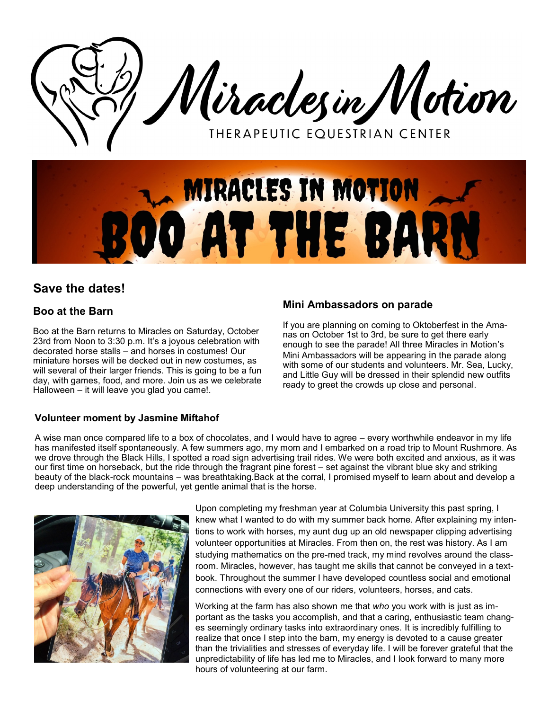



# **Save the dates!**

# **Boo at the Barn**

Boo at the Barn returns to Miracles on Saturday, October 23rd from Noon to 3:30 p.m. It's a joyous celebration with decorated horse stalls – and horses in costumes! Our miniature horses will be decked out in new costumes, as will several of their larger friends. This is going to be a fun day, with games, food, and more. Join us as we celebrate Halloween – it will leave you glad you came!.

## **Mini Ambassadors on parade**

If you are planning on coming to Oktoberfest in the Amanas on October 1st to 3rd, be sure to get there early enough to see the parade! All three Miracles in Motion's Mini Ambassadors will be appearing in the parade along with some of our students and volunteers. Mr. Sea, Lucky, and Little Guy will be dressed in their splendid new outfits ready to greet the crowds up close and personal.

### **Volunteer moment by Jasmine Miftahof**

A wise man once compared life to a box of chocolates, and I would have to agree – every worthwhile endeavor in my life has manifested itself spontaneously. A few summers ago, my mom and I embarked on a road trip to Mount Rushmore. As we drove through the Black Hills, I spotted a road sign advertising trail rides. We were both excited and anxious, as it was our first time on horseback, but the ride through the fragrant pine forest – set against the vibrant blue sky and striking beauty of the black-rock mountains – was breathtaking.Back at the corral, I promised myself to learn about and develop a deep understanding of the powerful, yet gentle animal that is the horse.



Upon completing my freshman year at Columbia University this past spring, I knew what I wanted to do with my summer back home. After explaining my intentions to work with horses, my aunt dug up an old newspaper clipping advertising volunteer opportunities at Miracles. From then on, the rest was history. As I am studying mathematics on the pre-med track, my mind revolves around the classroom. Miracles, however, has taught me skills that cannot be conveyed in a textbook. Throughout the summer I have developed countless social and emotional connections with every one of our riders, volunteers, horses, and cats.

Working at the farm has also shown me that *who* you work with is just as important as the tasks you accomplish, and that a caring, enthusiastic team changes seemingly ordinary tasks into extraordinary ones. It is incredibly fulfilling to realize that once I step into the barn, my energy is devoted to a cause greater than the trivialities and stresses of everyday life. I will be forever grateful that the unpredictability of life has led me to Miracles, and I look forward to many more hours of volunteering at our farm.